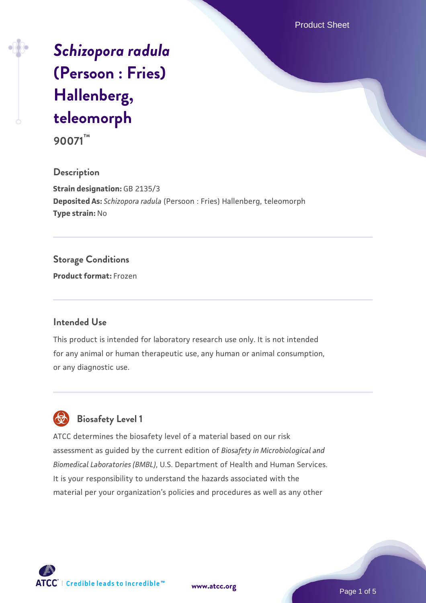Product Sheet

# *[Schizopora radula](https://www.atcc.org/products/90071)* **[\(Persoon : Fries\)](https://www.atcc.org/products/90071) [Hallenberg,](https://www.atcc.org/products/90071) [teleomorph](https://www.atcc.org/products/90071)**

**90071™**

### **Description**

**Strain designation:** GB 2135/3 **Deposited As:** *Schizopora radula* (Persoon : Fries) Hallenberg, teleomorph **Type strain:** No

### **Storage Conditions**

**Product format:** Frozen

#### **Intended Use**

This product is intended for laboratory research use only. It is not intended for any animal or human therapeutic use, any human or animal consumption, or any diagnostic use.

## **Biosafety Level 1**

ATCC determines the biosafety level of a material based on our risk assessment as guided by the current edition of *Biosafety in Microbiological and Biomedical Laboratories (BMBL)*, U.S. Department of Health and Human Services. It is your responsibility to understand the hazards associated with the material per your organization's policies and procedures as well as any other



**[www.atcc.org](http://www.atcc.org)**

Page 1 of 5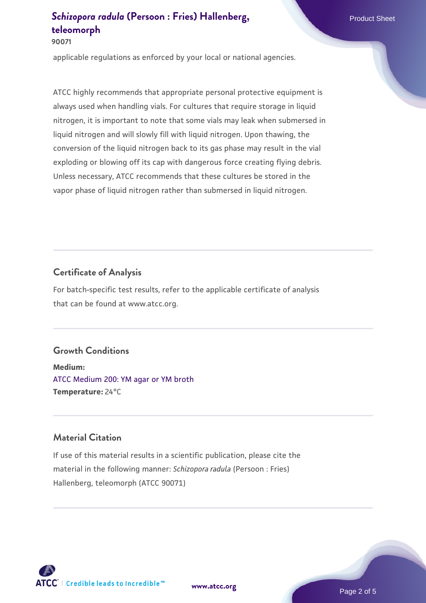**90071**

applicable regulations as enforced by your local or national agencies.

ATCC highly recommends that appropriate personal protective equipment is always used when handling vials. For cultures that require storage in liquid nitrogen, it is important to note that some vials may leak when submersed in liquid nitrogen and will slowly fill with liquid nitrogen. Upon thawing, the conversion of the liquid nitrogen back to its gas phase may result in the vial exploding or blowing off its cap with dangerous force creating flying debris. Unless necessary, ATCC recommends that these cultures be stored in the vapor phase of liquid nitrogen rather than submersed in liquid nitrogen.

### **Certificate of Analysis**

For batch-specific test results, refer to the applicable certificate of analysis that can be found at www.atcc.org.

### **Growth Conditions**

**Medium:**  [ATCC Medium 200: YM agar or YM broth](https://www.atcc.org/-/media/product-assets/documents/microbial-media-formulations/2/0/0/atcc-medium-200.pdf?rev=ac40fd74dc13433a809367b0b9da30fc) **Temperature:** 24°C

### **Material Citation**

If use of this material results in a scientific publication, please cite the material in the following manner: *Schizopora radula* (Persoon : Fries) Hallenberg, teleomorph (ATCC 90071)



**[www.atcc.org](http://www.atcc.org)**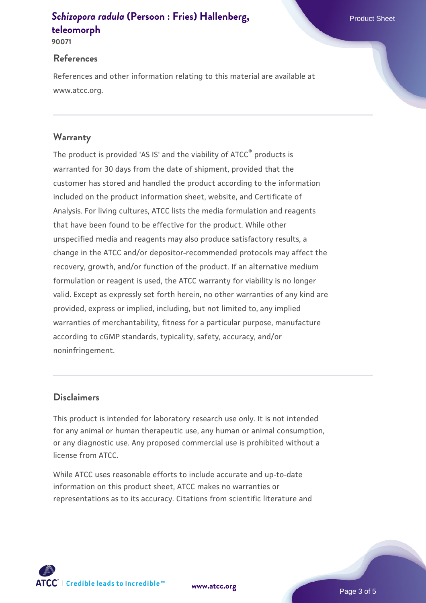**90071**

#### **References**

References and other information relating to this material are available at www.atcc.org.

### **Warranty**

The product is provided 'AS IS' and the viability of ATCC® products is warranted for 30 days from the date of shipment, provided that the customer has stored and handled the product according to the information included on the product information sheet, website, and Certificate of Analysis. For living cultures, ATCC lists the media formulation and reagents that have been found to be effective for the product. While other unspecified media and reagents may also produce satisfactory results, a change in the ATCC and/or depositor-recommended protocols may affect the recovery, growth, and/or function of the product. If an alternative medium formulation or reagent is used, the ATCC warranty for viability is no longer valid. Except as expressly set forth herein, no other warranties of any kind are provided, express or implied, including, but not limited to, any implied warranties of merchantability, fitness for a particular purpose, manufacture according to cGMP standards, typicality, safety, accuracy, and/or noninfringement.

### **Disclaimers**

This product is intended for laboratory research use only. It is not intended for any animal or human therapeutic use, any human or animal consumption, or any diagnostic use. Any proposed commercial use is prohibited without a license from ATCC.

While ATCC uses reasonable efforts to include accurate and up-to-date information on this product sheet, ATCC makes no warranties or representations as to its accuracy. Citations from scientific literature and

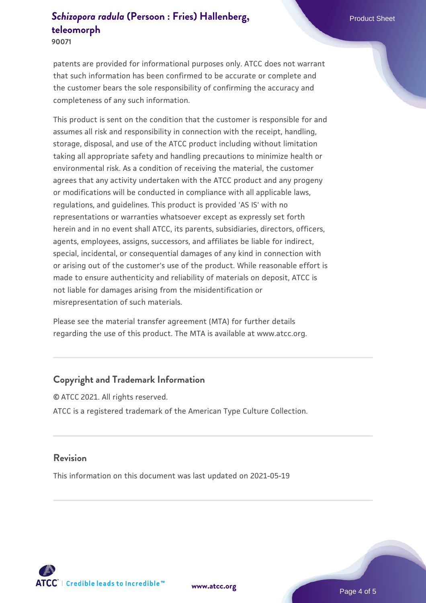**90071**

patents are provided for informational purposes only. ATCC does not warrant that such information has been confirmed to be accurate or complete and the customer bears the sole responsibility of confirming the accuracy and completeness of any such information.

This product is sent on the condition that the customer is responsible for and assumes all risk and responsibility in connection with the receipt, handling, storage, disposal, and use of the ATCC product including without limitation taking all appropriate safety and handling precautions to minimize health or environmental risk. As a condition of receiving the material, the customer agrees that any activity undertaken with the ATCC product and any progeny or modifications will be conducted in compliance with all applicable laws, regulations, and guidelines. This product is provided 'AS IS' with no representations or warranties whatsoever except as expressly set forth herein and in no event shall ATCC, its parents, subsidiaries, directors, officers, agents, employees, assigns, successors, and affiliates be liable for indirect, special, incidental, or consequential damages of any kind in connection with or arising out of the customer's use of the product. While reasonable effort is made to ensure authenticity and reliability of materials on deposit, ATCC is not liable for damages arising from the misidentification or misrepresentation of such materials.

Please see the material transfer agreement (MTA) for further details regarding the use of this product. The MTA is available at www.atcc.org.

### **Copyright and Trademark Information**

© ATCC 2021. All rights reserved. ATCC is a registered trademark of the American Type Culture Collection.

#### **Revision**

This information on this document was last updated on 2021-05-19



**[www.atcc.org](http://www.atcc.org)**